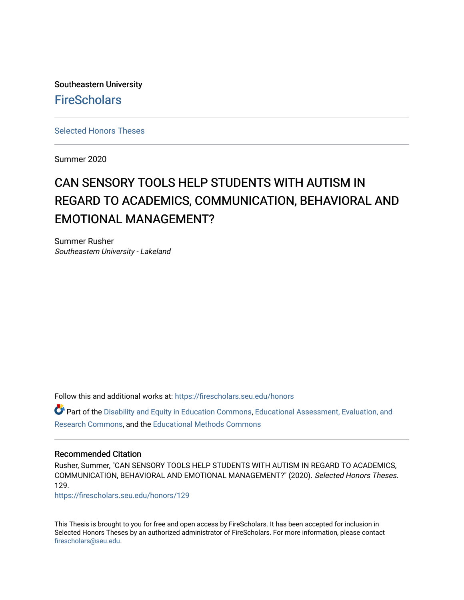Southeastern University **FireScholars** 

[Selected Honors Theses](https://firescholars.seu.edu/honors)

Summer 2020

# CAN SENSORY TOOLS HELP STUDENTS WITH AUTISM IN REGARD TO ACADEMICS, COMMUNICATION, BEHAVIORAL AND EMOTIONAL MANAGEMENT?

Summer Rusher Southeastern University - Lakeland

Follow this and additional works at: [https://firescholars.seu.edu/honors](https://firescholars.seu.edu/honors?utm_source=firescholars.seu.edu%2Fhonors%2F129&utm_medium=PDF&utm_campaign=PDFCoverPages)

Part of the [Disability and Equity in Education Commons](http://network.bepress.com/hgg/discipline/1040?utm_source=firescholars.seu.edu%2Fhonors%2F129&utm_medium=PDF&utm_campaign=PDFCoverPages), [Educational Assessment, Evaluation, and](http://network.bepress.com/hgg/discipline/796?utm_source=firescholars.seu.edu%2Fhonors%2F129&utm_medium=PDF&utm_campaign=PDFCoverPages) [Research Commons,](http://network.bepress.com/hgg/discipline/796?utm_source=firescholars.seu.edu%2Fhonors%2F129&utm_medium=PDF&utm_campaign=PDFCoverPages) and the [Educational Methods Commons](http://network.bepress.com/hgg/discipline/1227?utm_source=firescholars.seu.edu%2Fhonors%2F129&utm_medium=PDF&utm_campaign=PDFCoverPages) 

### Recommended Citation

Rusher, Summer, "CAN SENSORY TOOLS HELP STUDENTS WITH AUTISM IN REGARD TO ACADEMICS, COMMUNICATION, BEHAVIORAL AND EMOTIONAL MANAGEMENT?" (2020). Selected Honors Theses. 129.

[https://firescholars.seu.edu/honors/129](https://firescholars.seu.edu/honors/129?utm_source=firescholars.seu.edu%2Fhonors%2F129&utm_medium=PDF&utm_campaign=PDFCoverPages)

This Thesis is brought to you for free and open access by FireScholars. It has been accepted for inclusion in Selected Honors Theses by an authorized administrator of FireScholars. For more information, please contact [firescholars@seu.edu.](mailto:firescholars@seu.edu)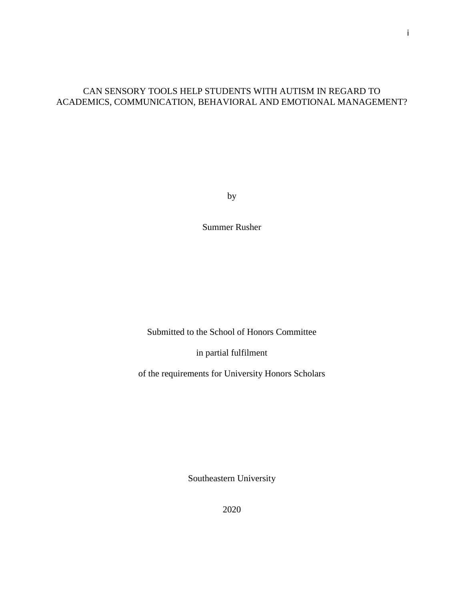## CAN SENSORY TOOLS HELP STUDENTS WITH AUTISM IN REGARD TO ACADEMICS, COMMUNICATION, BEHAVIORAL AND EMOTIONAL MANAGEMENT?

by

Summer Rusher

Submitted to the School of Honors Committee

in partial fulfilment

of the requirements for University Honors Scholars

Southeastern University

2020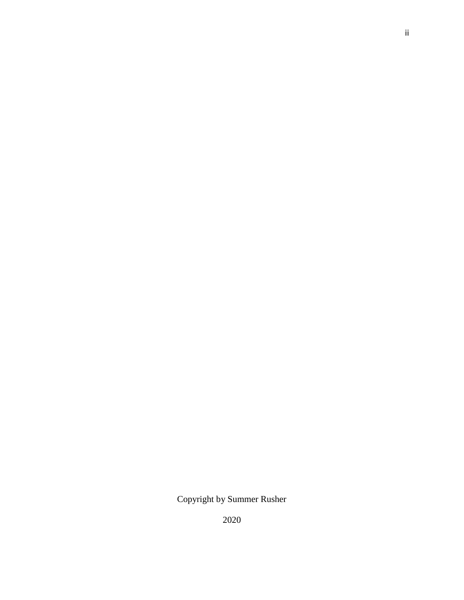Copyright by Summer Rusher

2020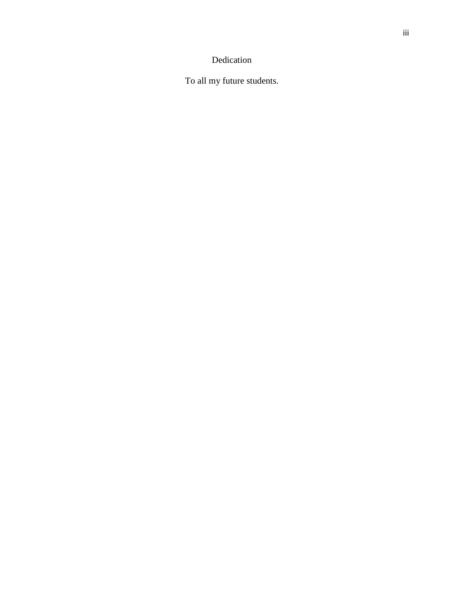## Dedication

To all my future students.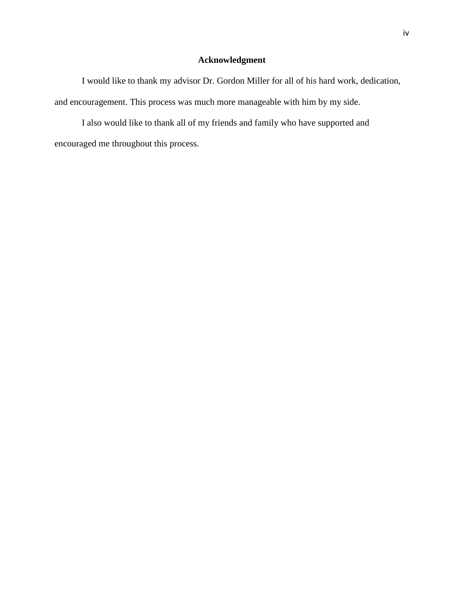## **Acknowledgment**

I would like to thank my advisor Dr. Gordon Miller for all of his hard work, dedication, and encouragement. This process was much more manageable with him by my side.

I also would like to thank all of my friends and family who have supported and encouraged me throughout this process.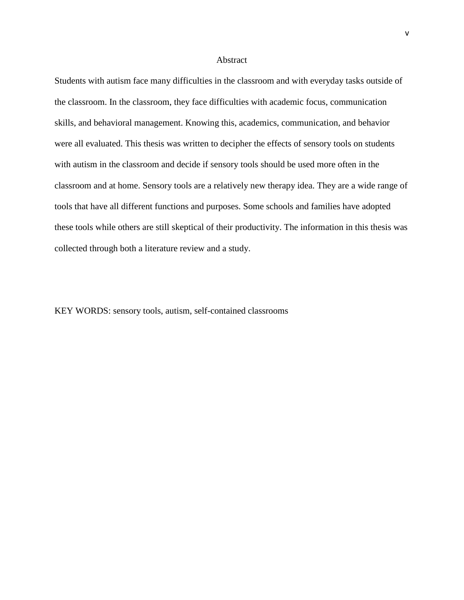#### **Abstract**

Students with autism face many difficulties in the classroom and with everyday tasks outside of the classroom. In the classroom, they face difficulties with academic focus, communication skills, and behavioral management. Knowing this, academics, communication, and behavior were all evaluated. This thesis was written to decipher the effects of sensory tools on students with autism in the classroom and decide if sensory tools should be used more often in the classroom and at home. Sensory tools are a relatively new therapy idea. They are a wide range of tools that have all different functions and purposes. Some schools and families have adopted these tools while others are still skeptical of their productivity. The information in this thesis was collected through both a literature review and a study.

KEY WORDS: sensory tools, autism, self-contained classrooms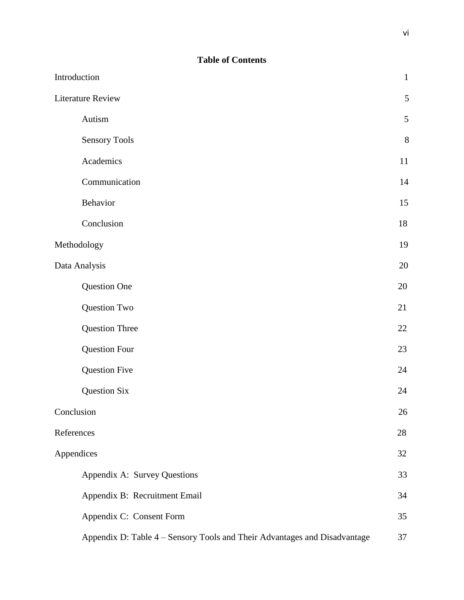| Introduction                                                              | $\mathbf{1}$ |
|---------------------------------------------------------------------------|--------------|
| <b>Literature Review</b>                                                  | $\sqrt{5}$   |
| Autism                                                                    | 5            |
| <b>Sensory Tools</b>                                                      | $8\,$        |
| Academics                                                                 | 11           |
| Communication                                                             | 14           |
| Behavior                                                                  | 15           |
| Conclusion                                                                | 18           |
| Methodology                                                               | 19           |
| Data Analysis                                                             | 20           |
| Question One                                                              | 20           |
| Question Two                                                              | 21           |
| Question Three                                                            | 22           |
| <b>Question Four</b>                                                      | 23           |
| <b>Question Five</b>                                                      | 24           |
| Question Six                                                              | 24           |
| Conclusion                                                                | 26           |
| References                                                                | 28           |
| Appendices                                                                | 32           |
| Appendix A: Survey Questions                                              | 33           |
| Appendix B: Recruitment Email                                             | 34           |
| Appendix C: Consent Form                                                  | 35           |
| Appendix D: Table 4 - Sensory Tools and Their Advantages and Disadvantage | 37           |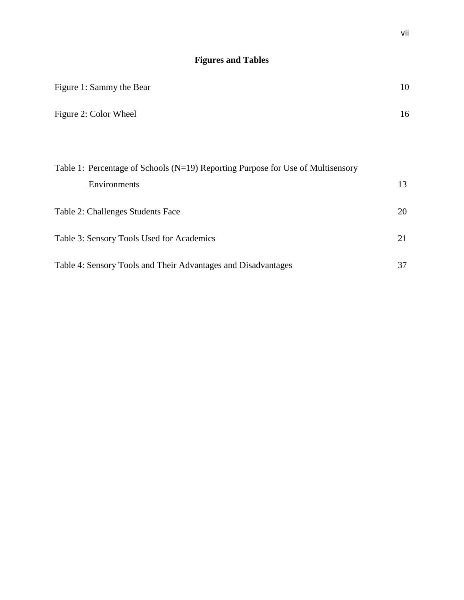## **Figures and Tables**

| Figure 1: Sammy the Bear                                                            | 10 |
|-------------------------------------------------------------------------------------|----|
| Figure 2: Color Wheel                                                               | 16 |
|                                                                                     |    |
| Table 1: Percentage of Schools ( $N=19$ ) Reporting Purpose for Use of Multisensory |    |
| Environments                                                                        | 13 |
| Table 2: Challenges Students Face                                                   | 20 |
| Table 3: Sensory Tools Used for Academics                                           | 21 |
| Table 4: Sensory Tools and Their Advantages and Disadvantages                       | 37 |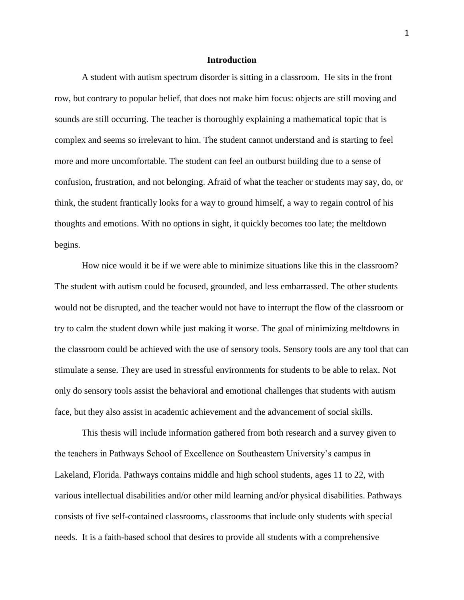## **Introduction**

A student with autism spectrum disorder is sitting in a classroom. He sits in the front row, but contrary to popular belief, that does not make him focus: objects are still moving and sounds are still occurring. The teacher is thoroughly explaining a mathematical topic that is complex and seems so irrelevant to him. The student cannot understand and is starting to feel more and more uncomfortable. The student can feel an outburst building due to a sense of confusion, frustration, and not belonging. Afraid of what the teacher or students may say, do, or think, the student frantically looks for a way to ground himself, a way to regain control of his thoughts and emotions. With no options in sight, it quickly becomes too late; the meltdown begins.

How nice would it be if we were able to minimize situations like this in the classroom? The student with autism could be focused, grounded, and less embarrassed. The other students would not be disrupted, and the teacher would not have to interrupt the flow of the classroom or try to calm the student down while just making it worse. The goal of minimizing meltdowns in the classroom could be achieved with the use of sensory tools. Sensory tools are any tool that can stimulate a sense. They are used in stressful environments for students to be able to relax. Not only do sensory tools assist the behavioral and emotional challenges that students with autism face, but they also assist in academic achievement and the advancement of social skills.

This thesis will include information gathered from both research and a survey given to the teachers in Pathways School of Excellence on Southeastern University's campus in Lakeland, Florida. Pathways contains middle and high school students, ages 11 to 22, with various intellectual disabilities and/or other mild learning and/or physical disabilities. Pathways consists of five self-contained classrooms, classrooms that include only students with special needs. It is a faith-based school that desires to provide all students with a comprehensive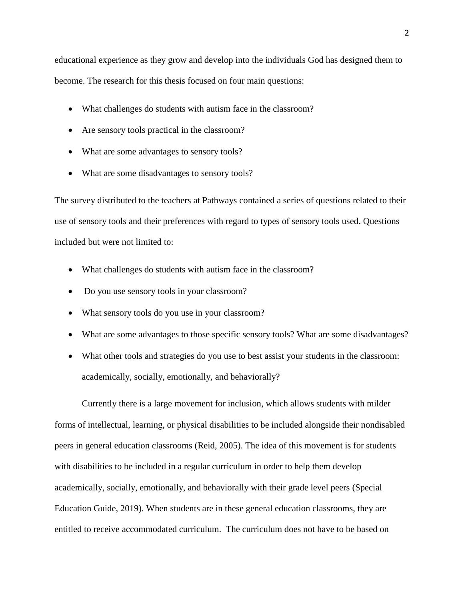educational experience as they grow and develop into the individuals God has designed them to become. The research for this thesis focused on four main questions:

- What challenges do students with autism face in the classroom?
- Are sensory tools practical in the classroom?
- What are some advantages to sensory tools?
- What are some disadvantages to sensory tools?

The survey distributed to the teachers at Pathways contained a series of questions related to their use of sensory tools and their preferences with regard to types of sensory tools used. Questions included but were not limited to:

- What challenges do students with autism face in the classroom?
- Do you use sensory tools in your classroom?
- What sensory tools do you use in your classroom?
- What are some advantages to those specific sensory tools? What are some disadvantages?
- What other tools and strategies do you use to best assist your students in the classroom: academically, socially, emotionally, and behaviorally?

Currently there is a large movement for inclusion, which allows students with milder forms of intellectual, learning, or physical disabilities to be included alongside their nondisabled peers in general education classrooms (Reid, 2005). The idea of this movement is for students with disabilities to be included in a regular curriculum in order to help them develop academically, socially, emotionally, and behaviorally with their grade level peers (Special Education Guide, 2019). When students are in these general education classrooms, they are entitled to receive accommodated curriculum. The curriculum does not have to be based on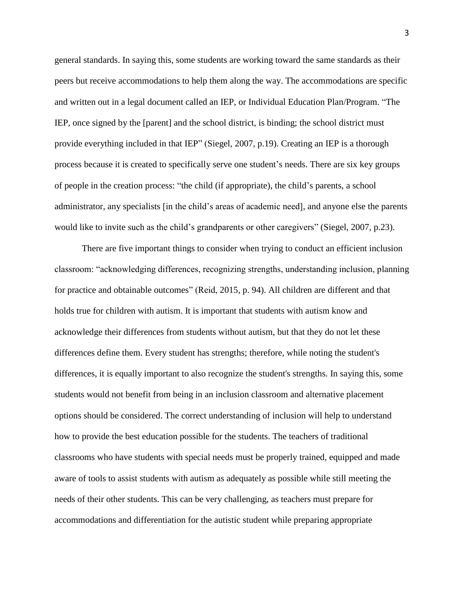general standards. In saying this, some students are working toward the same standards as their peers but receive accommodations to help them along the way. The accommodations are specific and written out in a legal document called an IEP, or Individual Education Plan/Program. "The IEP, once signed by the [parent] and the school district, is binding; the school district must provide everything included in that IEP" (Siegel, 2007, p.19). Creating an IEP is a thorough process because it is created to specifically serve one student's needs. There are six key groups of people in the creation process: "the child (if appropriate), the child's parents, a school administrator, any specialists [in the child's areas of academic need], and anyone else the parents would like to invite such as the child's grandparents or other caregivers" (Siegel, 2007, p.23).

There are five important things to consider when trying to conduct an efficient inclusion classroom: "acknowledging differences, recognizing strengths, understanding inclusion, planning for practice and obtainable outcomes" (Reid, 2015, p. 94). All children are different and that holds true for children with autism. It is important that students with autism know and acknowledge their differences from students without autism, but that they do not let these differences define them. Every student has strengths; therefore, while noting the student's differences, it is equally important to also recognize the student's strengths. In saying this, some students would not benefit from being in an inclusion classroom and alternative placement options should be considered. The correct understanding of inclusion will help to understand how to provide the best education possible for the students. The teachers of traditional classrooms who have students with special needs must be properly trained, equipped and made aware of tools to assist students with autism as adequately as possible while still meeting the needs of their other students. This can be very challenging, as teachers must prepare for accommodations and differentiation for the autistic student while preparing appropriate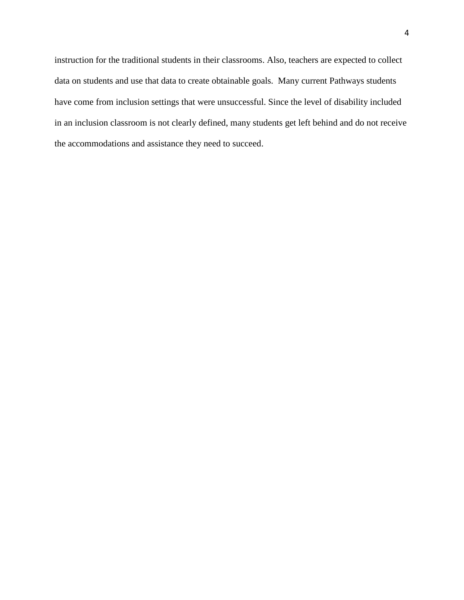instruction for the traditional students in their classrooms. Also, teachers are expected to collect data on students and use that data to create obtainable goals. Many current Pathways students have come from inclusion settings that were unsuccessful. Since the level of disability included in an inclusion classroom is not clearly defined, many students get left behind and do not receive the accommodations and assistance they need to succeed.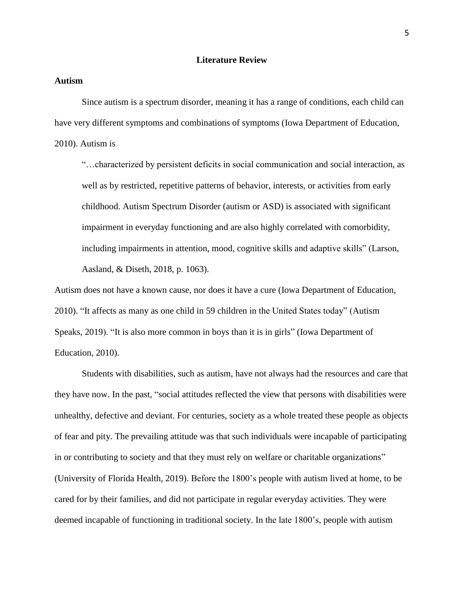### **Literature Review**

### **Autism**

Since autism is a spectrum disorder, meaning it has a range of conditions, each child can have very different symptoms and combinations of symptoms (Iowa Department of Education, 2010). Autism is

"…characterized by persistent deficits in social communication and social interaction, as well as by restricted, repetitive patterns of behavior, interests, or activities from early childhood. Autism Spectrum Disorder (autism or ASD) is associated with significant impairment in everyday functioning and are also highly correlated with comorbidity, including impairments in attention, mood, cognitive skills and adaptive skills" (Larson, Aasland, & Diseth, 2018, p. 1063).

Autism does not have a known cause, nor does it have a cure (Iowa Department of Education, 2010). "It affects as many as one child in 59 children in the United States today" (Autism Speaks, 2019). "It is also more common in boys than it is in girls" (Iowa Department of Education, 2010).

Students with disabilities, such as autism, have not always had the resources and care that they have now. In the past, "social attitudes reflected the view that persons with disabilities were unhealthy, defective and deviant. For centuries, society as a whole treated these people as objects of fear and pity. The prevailing attitude was that such individuals were incapable of participating in or contributing to society and that they must rely on welfare or charitable organizations" (University of Florida Health, 2019). Before the 1800's people with autism lived at home, to be cared for by their families, and did not participate in regular everyday activities. They were deemed incapable of functioning in traditional society. In the late 1800's, people with autism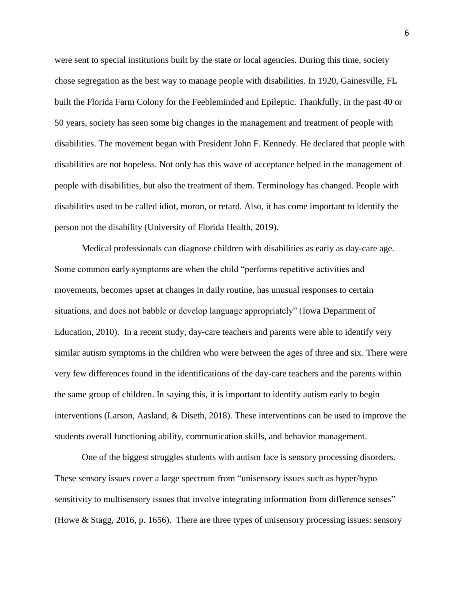were sent to special institutions built by the state or local agencies. During this time, society chose segregation as the best way to manage people with disabilities. In 1920, Gainesville, FL built the Florida Farm Colony for the Feebleminded and Epileptic. Thankfully, in the past 40 or 50 years, society has seen some big changes in the management and treatment of people with disabilities. The movement began with President John F. Kennedy. He declared that people with disabilities are not hopeless. Not only has this wave of acceptance helped in the management of people with disabilities, but also the treatment of them. Terminology has changed. People with disabilities used to be called idiot, moron, or retard. Also, it has come important to identify the person not the disability (University of Florida Health, 2019).

Medical professionals can diagnose children with disabilities as early as day-care age. Some common early symptoms are when the child "performs repetitive activities and movements, becomes upset at changes in daily routine, has unusual responses to certain situations, and does not babble or develop language appropriately" (Iowa Department of Education, 2010). In a recent study, day-care teachers and parents were able to identify very similar autism symptoms in the children who were between the ages of three and six. There were very few differences found in the identifications of the day-care teachers and the parents within the same group of children. In saying this, it is important to identify autism early to begin interventions (Larson, Aasland, & Diseth, 2018). These interventions can be used to improve the students overall functioning ability, communication skills, and behavior management.

One of the biggest struggles students with autism face is sensory processing disorders. These sensory issues cover a large spectrum from "unisensory issues such as hyper/hypo sensitivity to multisensory issues that involve integrating information from difference senses" (Howe & Stagg, 2016, p. 1656). There are three types of unisensory processing issues: sensory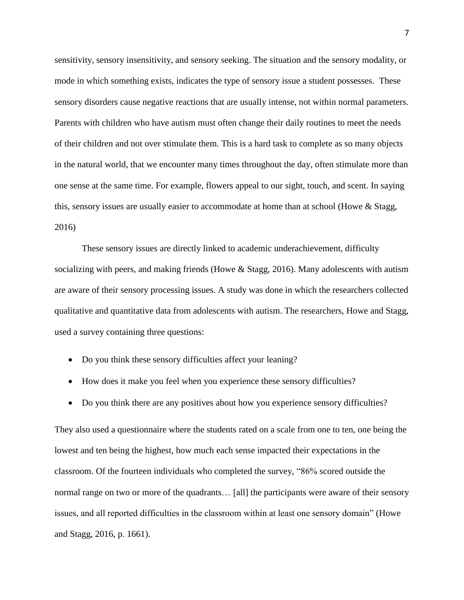sensitivity, sensory insensitivity, and sensory seeking. The situation and the sensory modality, or mode in which something exists, indicates the type of sensory issue a student possesses. These sensory disorders cause negative reactions that are usually intense, not within normal parameters. Parents with children who have autism must often change their daily routines to meet the needs of their children and not over stimulate them. This is a hard task to complete as so many objects in the natural world, that we encounter many times throughout the day, often stimulate more than one sense at the same time. For example, flowers appeal to our sight, touch, and scent. In saying this, sensory issues are usually easier to accommodate at home than at school (Howe & Stagg, 2016)

These sensory issues are directly linked to academic underachievement, difficulty socializing with peers, and making friends (Howe & Stagg, 2016). Many adolescents with autism are aware of their sensory processing issues. A study was done in which the researchers collected qualitative and quantitative data from adolescents with autism. The researchers, Howe and Stagg, used a survey containing three questions:

- Do you think these sensory difficulties affect your leaning?
- How does it make you feel when you experience these sensory difficulties?
- Do you think there are any positives about how you experience sensory difficulties?

They also used a questionnaire where the students rated on a scale from one to ten, one being the lowest and ten being the highest, how much each sense impacted their expectations in the classroom. Of the fourteen individuals who completed the survey, "86% scored outside the normal range on two or more of the quadrants… [all] the participants were aware of their sensory issues, and all reported difficulties in the classroom within at least one sensory domain" (Howe and Stagg, 2016, p. 1661).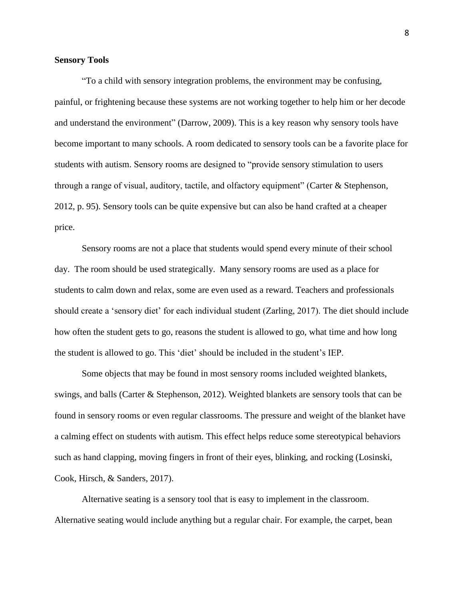## **Sensory Tools**

"To a child with sensory integration problems, the environment may be confusing, painful, or frightening because these systems are not working together to help him or her decode and understand the environment" (Darrow, 2009). This is a key reason why sensory tools have become important to many schools. A room dedicated to sensory tools can be a favorite place for students with autism. Sensory rooms are designed to "provide sensory stimulation to users through a range of visual, auditory, tactile, and olfactory equipment" (Carter & Stephenson, 2012, p. 95). Sensory tools can be quite expensive but can also be hand crafted at a cheaper price.

Sensory rooms are not a place that students would spend every minute of their school day. The room should be used strategically. Many sensory rooms are used as a place for students to calm down and relax, some are even used as a reward. Teachers and professionals should create a 'sensory diet' for each individual student (Zarling, 2017). The diet should include how often the student gets to go, reasons the student is allowed to go, what time and how long the student is allowed to go. This 'diet' should be included in the student's IEP.

Some objects that may be found in most sensory rooms included weighted blankets, swings, and balls (Carter & Stephenson, 2012). Weighted blankets are sensory tools that can be found in sensory rooms or even regular classrooms. The pressure and weight of the blanket have a calming effect on students with autism. This effect helps reduce some stereotypical behaviors such as hand clapping, moving fingers in front of their eyes, blinking, and rocking (Losinski, Cook, Hirsch, & Sanders, 2017).

Alternative seating is a sensory tool that is easy to implement in the classroom. Alternative seating would include anything but a regular chair. For example, the carpet, bean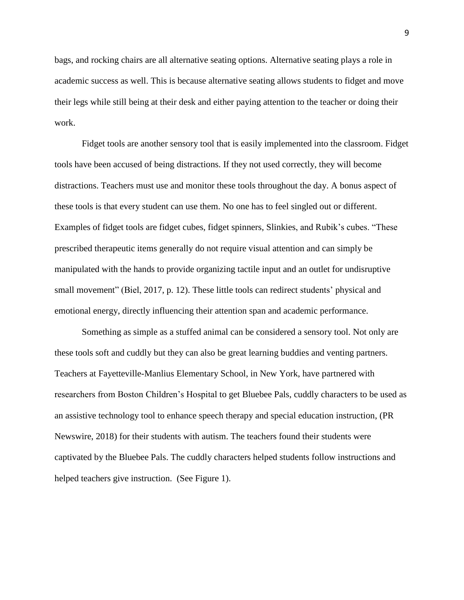bags, and rocking chairs are all alternative seating options. Alternative seating plays a role in academic success as well. This is because alternative seating allows students to fidget and move their legs while still being at their desk and either paying attention to the teacher or doing their work.

Fidget tools are another sensory tool that is easily implemented into the classroom. Fidget tools have been accused of being distractions. If they not used correctly, they will become distractions. Teachers must use and monitor these tools throughout the day. A bonus aspect of these tools is that every student can use them. No one has to feel singled out or different. Examples of fidget tools are fidget cubes, fidget spinners, Slinkies, and Rubik's cubes. "These prescribed therapeutic items generally do not require visual attention and can simply be manipulated with the hands to provide organizing tactile input and an outlet for undisruptive small movement" (Biel, 2017, p. 12). These little tools can redirect students' physical and emotional energy, directly influencing their attention span and academic performance.

Something as simple as a stuffed animal can be considered a sensory tool. Not only are these tools soft and cuddly but they can also be great learning buddies and venting partners. Teachers at Fayetteville-Manlius Elementary School, in New York, have partnered with researchers from Boston Children's Hospital to get Bluebee Pals, cuddly characters to be used as an assistive technology tool to enhance speech therapy and special education instruction, (PR Newswire, 2018) for their students with autism. The teachers found their students were captivated by the Bluebee Pals. The cuddly characters helped students follow instructions and helped teachers give instruction. (See Figure 1).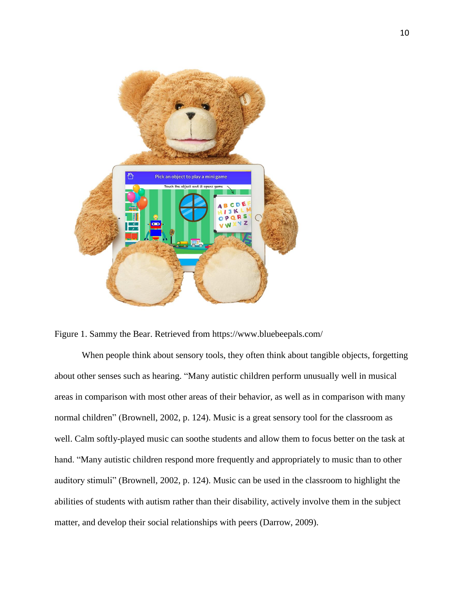

Figure 1. Sammy the Bear. Retrieved from https://www.bluebeepals.com/

When people think about sensory tools, they often think about tangible objects, forgetting about other senses such as hearing. "Many autistic children perform unusually well in musical areas in comparison with most other areas of their behavior, as well as in comparison with many normal children" (Brownell, 2002, p. 124). Music is a great sensory tool for the classroom as well. Calm softly-played music can soothe students and allow them to focus better on the task at hand. "Many autistic children respond more frequently and appropriately to music than to other auditory stimuli" (Brownell, 2002, p. 124). Music can be used in the classroom to highlight the abilities of students with autism rather than their disability, actively involve them in the subject matter, and develop their social relationships with peers (Darrow, 2009).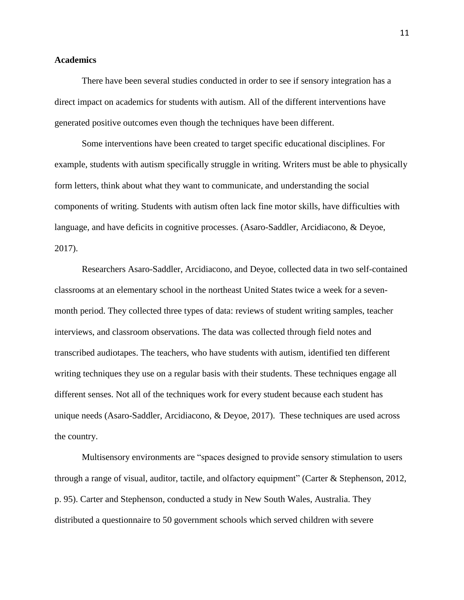## **Academics**

There have been several studies conducted in order to see if sensory integration has a direct impact on academics for students with autism. All of the different interventions have generated positive outcomes even though the techniques have been different.

Some interventions have been created to target specific educational disciplines. For example, students with autism specifically struggle in writing. Writers must be able to physically form letters, think about what they want to communicate, and understanding the social components of writing. Students with autism often lack fine motor skills, have difficulties with language, and have deficits in cognitive processes. (Asaro-Saddler, Arcidiacono, & Deyoe, 2017).

Researchers Asaro-Saddler, Arcidiacono, and Deyoe, collected data in two self-contained classrooms at an elementary school in the northeast United States twice a week for a sevenmonth period. They collected three types of data: reviews of student writing samples, teacher interviews, and classroom observations. The data was collected through field notes and transcribed audiotapes. The teachers, who have students with autism, identified ten different writing techniques they use on a regular basis with their students. These techniques engage all different senses. Not all of the techniques work for every student because each student has unique needs (Asaro-Saddler, Arcidiacono, & Deyoe, 2017). These techniques are used across the country.

Multisensory environments are "spaces designed to provide sensory stimulation to users through a range of visual, auditor, tactile, and olfactory equipment" (Carter & Stephenson, 2012, p. 95). Carter and Stephenson, conducted a study in New South Wales, Australia. They distributed a questionnaire to 50 government schools which served children with severe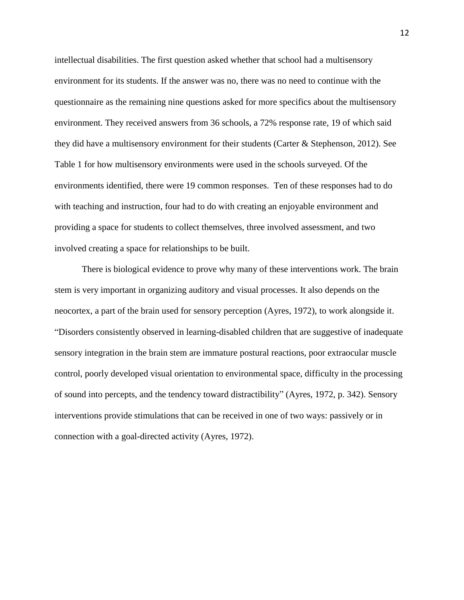intellectual disabilities. The first question asked whether that school had a multisensory environment for its students. If the answer was no, there was no need to continue with the questionnaire as the remaining nine questions asked for more specifics about the multisensory environment. They received answers from 36 schools, a 72% response rate, 19 of which said they did have a multisensory environment for their students (Carter & Stephenson, 2012). See Table 1 for how multisensory environments were used in the schools surveyed. Of the environments identified, there were 19 common responses. Ten of these responses had to do with teaching and instruction, four had to do with creating an enjoyable environment and providing a space for students to collect themselves, three involved assessment, and two involved creating a space for relationships to be built.

There is biological evidence to prove why many of these interventions work. The brain stem is very important in organizing auditory and visual processes. It also depends on the neocortex, a part of the brain used for sensory perception (Ayres, 1972), to work alongside it. "Disorders consistently observed in learning-disabled children that are suggestive of inadequate sensory integration in the brain stem are immature postural reactions, poor extraocular muscle control, poorly developed visual orientation to environmental space, difficulty in the processing of sound into percepts, and the tendency toward distractibility" (Ayres, 1972, p. 342). Sensory interventions provide stimulations that can be received in one of two ways: passively or in connection with a goal-directed activity (Ayres, 1972).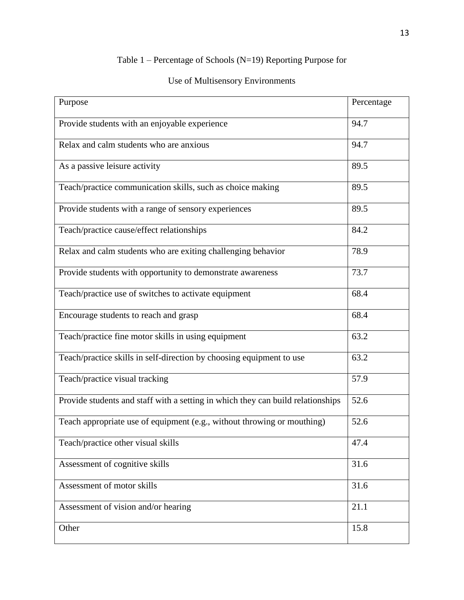## Table 1 – Percentage of Schools (N=19) Reporting Purpose for

## Use of Multisensory Environments

| Purpose                                                                         | Percentage |
|---------------------------------------------------------------------------------|------------|
| Provide students with an enjoyable experience                                   | 94.7       |
| Relax and calm students who are anxious                                         | 94.7       |
| As a passive leisure activity                                                   | 89.5       |
| Teach/practice communication skills, such as choice making                      | 89.5       |
| Provide students with a range of sensory experiences                            | 89.5       |
| Teach/practice cause/effect relationships                                       | 84.2       |
| Relax and calm students who are exiting challenging behavior                    | 78.9       |
| Provide students with opportunity to demonstrate awareness                      | 73.7       |
| Teach/practice use of switches to activate equipment                            | 68.4       |
| Encourage students to reach and grasp                                           | 68.4       |
| Teach/practice fine motor skills in using equipment                             | 63.2       |
| Teach/practice skills in self-direction by choosing equipment to use            | 63.2       |
| Teach/practice visual tracking                                                  | 57.9       |
| Provide students and staff with a setting in which they can build relationships | 52.6       |
| Teach appropriate use of equipment (e.g., without throwing or mouthing)         | 52.6       |
| Teach/practice other visual skills                                              | 47.4       |
| Assessment of cognitive skills                                                  | 31.6       |
| Assessment of motor skills                                                      | 31.6       |
| Assessment of vision and/or hearing                                             | 21.1       |
| Other                                                                           | 15.8       |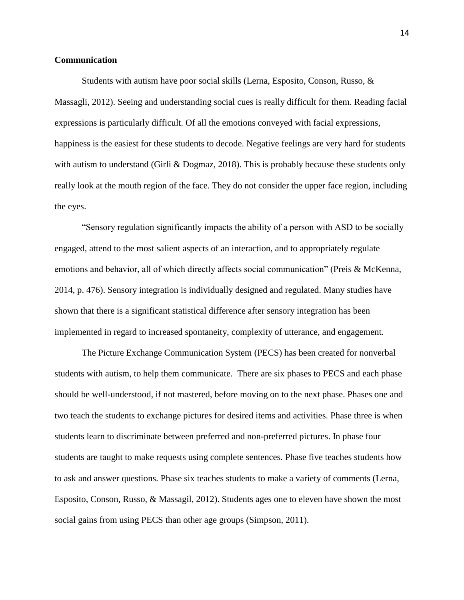## **Communication**

Students with autism have poor social skills (Lerna, Esposito, Conson, Russo, & Massagli, 2012). Seeing and understanding social cues is really difficult for them. Reading facial expressions is particularly difficult. Of all the emotions conveyed with facial expressions, happiness is the easiest for these students to decode. Negative feelings are very hard for students with autism to understand (Girli & Dogmaz, 2018). This is probably because these students only really look at the mouth region of the face. They do not consider the upper face region, including the eyes.

"Sensory regulation significantly impacts the ability of a person with ASD to be socially engaged, attend to the most salient aspects of an interaction, and to appropriately regulate emotions and behavior, all of which directly affects social communication" (Preis & McKenna, 2014, p. 476). Sensory integration is individually designed and regulated. Many studies have shown that there is a significant statistical difference after sensory integration has been implemented in regard to increased spontaneity, complexity of utterance, and engagement.

The Picture Exchange Communication System (PECS) has been created for nonverbal students with autism, to help them communicate. There are six phases to PECS and each phase should be well-understood, if not mastered, before moving on to the next phase. Phases one and two teach the students to exchange pictures for desired items and activities. Phase three is when students learn to discriminate between preferred and non-preferred pictures. In phase four students are taught to make requests using complete sentences. Phase five teaches students how to ask and answer questions. Phase six teaches students to make a variety of comments (Lerna, Esposito, Conson, Russo, & Massagil, 2012). Students ages one to eleven have shown the most social gains from using PECS than other age groups (Simpson, 2011).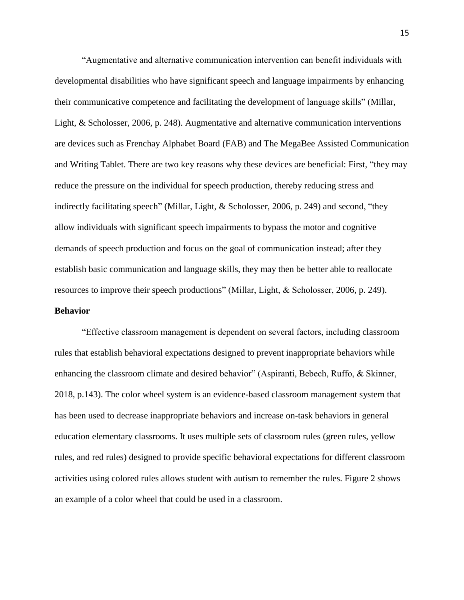"Augmentative and alternative communication intervention can benefit individuals with developmental disabilities who have significant speech and language impairments by enhancing their communicative competence and facilitating the development of language skills" (Millar, Light, & Scholosser, 2006, p. 248). Augmentative and alternative communication interventions are devices such as Frenchay Alphabet Board (FAB) and The MegaBee Assisted Communication and Writing Tablet. There are two key reasons why these devices are beneficial: First, "they may reduce the pressure on the individual for speech production, thereby reducing stress and indirectly facilitating speech" (Millar, Light, & Scholosser, 2006, p. 249) and second, "they allow individuals with significant speech impairments to bypass the motor and cognitive demands of speech production and focus on the goal of communication instead; after they establish basic communication and language skills, they may then be better able to reallocate resources to improve their speech productions" (Millar, Light, & Scholosser, 2006, p. 249). **Behavior**

"Effective classroom management is dependent on several factors, including classroom rules that establish behavioral expectations designed to prevent inappropriate behaviors while enhancing the classroom climate and desired behavior" (Aspiranti, Bebech, Ruffo, & Skinner, 2018, p.143). The color wheel system is an evidence-based classroom management system that has been used to decrease inappropriate behaviors and increase on-task behaviors in general education elementary classrooms. It uses multiple sets of classroom rules (green rules, yellow rules, and red rules) designed to provide specific behavioral expectations for different classroom activities using colored rules allows student with autism to remember the rules. Figure 2 shows an example of a color wheel that could be used in a classroom.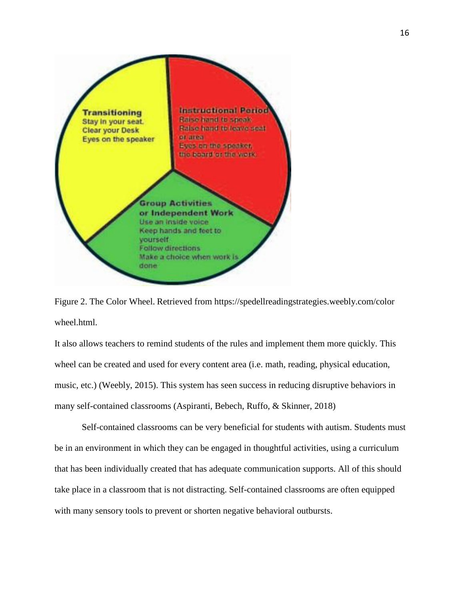

Figure 2. The Color Wheel. Retrieved from https://spedellreadingstrategies.weebly.com/color wheel.html.

It also allows teachers to remind students of the rules and implement them more quickly. This wheel can be created and used for every content area (i.e. math, reading, physical education, music, etc.) (Weebly, 2015). This system has seen success in reducing disruptive behaviors in many self-contained classrooms (Aspiranti, Bebech, Ruffo, & Skinner, 2018)

Self-contained classrooms can be very beneficial for students with autism. Students must be in an environment in which they can be engaged in thoughtful activities, using a curriculum that has been individually created that has adequate communication supports. All of this should take place in a classroom that is not distracting. Self-contained classrooms are often equipped with many sensory tools to prevent or shorten negative behavioral outbursts.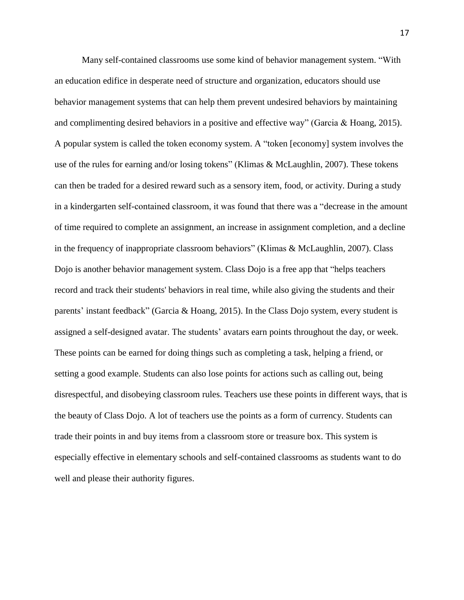Many self-contained classrooms use some kind of behavior management system. "With an education edifice in desperate need of structure and organization, educators should use behavior management systems that can help them prevent undesired behaviors by maintaining and complimenting desired behaviors in a positive and effective way" (Garcia & Hoang, 2015). A popular system is called the token economy system. A "token [economy] system involves the use of the rules for earning and/or losing tokens" (Klimas & McLaughlin, 2007). These tokens can then be traded for a desired reward such as a sensory item, food, or activity. During a study in a kindergarten self-contained classroom, it was found that there was a "decrease in the amount of time required to complete an assignment, an increase in assignment completion, and a decline in the frequency of inappropriate classroom behaviors" (Klimas & McLaughlin, 2007). Class Dojo is another behavior management system. Class Dojo is a free app that "helps teachers record and track their students' behaviors in real time, while also giving the students and their parents' instant feedback" (Garcia & Hoang, 2015). In the Class Dojo system, every student is assigned a self-designed avatar. The students' avatars earn points throughout the day, or week. These points can be earned for doing things such as completing a task, helping a friend, or setting a good example. Students can also lose points for actions such as calling out, being disrespectful, and disobeying classroom rules. Teachers use these points in different ways, that is the beauty of Class Dojo. A lot of teachers use the points as a form of currency. Students can trade their points in and buy items from a classroom store or treasure box. This system is especially effective in elementary schools and self-contained classrooms as students want to do well and please their authority figures.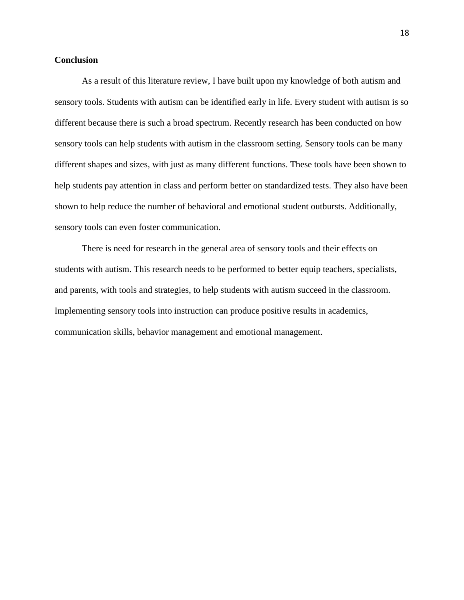## **Conclusion**

As a result of this literature review, I have built upon my knowledge of both autism and sensory tools. Students with autism can be identified early in life. Every student with autism is so different because there is such a broad spectrum. Recently research has been conducted on how sensory tools can help students with autism in the classroom setting. Sensory tools can be many different shapes and sizes, with just as many different functions. These tools have been shown to help students pay attention in class and perform better on standardized tests. They also have been shown to help reduce the number of behavioral and emotional student outbursts. Additionally, sensory tools can even foster communication.

There is need for research in the general area of sensory tools and their effects on students with autism. This research needs to be performed to better equip teachers, specialists, and parents, with tools and strategies, to help students with autism succeed in the classroom. Implementing sensory tools into instruction can produce positive results in academics, communication skills, behavior management and emotional management.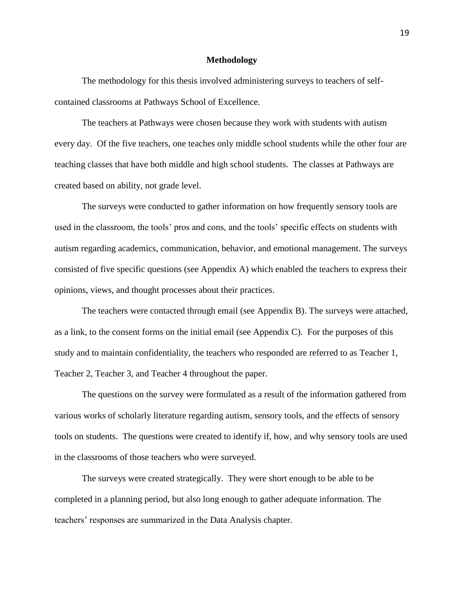#### **Methodology**

The methodology for this thesis involved administering surveys to teachers of selfcontained classrooms at Pathways School of Excellence.

The teachers at Pathways were chosen because they work with students with autism every day. Of the five teachers, one teaches only middle school students while the other four are teaching classes that have both middle and high school students. The classes at Pathways are created based on ability, not grade level.

The surveys were conducted to gather information on how frequently sensory tools are used in the classroom, the tools' pros and cons, and the tools' specific effects on students with autism regarding academics, communication, behavior, and emotional management. The surveys consisted of five specific questions (see Appendix A) which enabled the teachers to express their opinions, views, and thought processes about their practices.

The teachers were contacted through email (see Appendix B). The surveys were attached, as a link, to the consent forms on the initial email (see Appendix C). For the purposes of this study and to maintain confidentiality, the teachers who responded are referred to as Teacher 1, Teacher 2, Teacher 3, and Teacher 4 throughout the paper.

The questions on the survey were formulated as a result of the information gathered from various works of scholarly literature regarding autism, sensory tools, and the effects of sensory tools on students. The questions were created to identify if, how, and why sensory tools are used in the classrooms of those teachers who were surveyed.

The surveys were created strategically. They were short enough to be able to be completed in a planning period, but also long enough to gather adequate information. The teachers' responses are summarized in the Data Analysis chapter.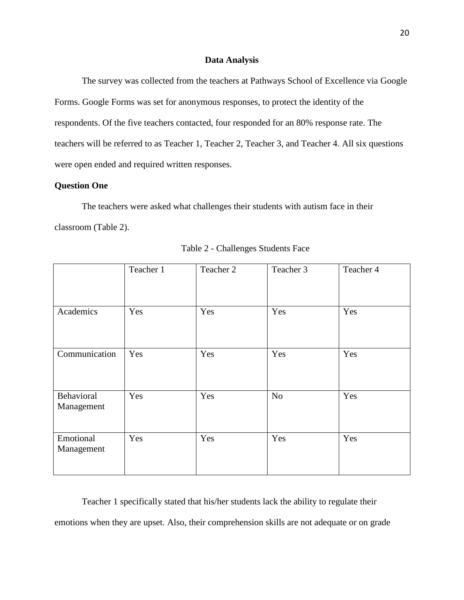## **Data Analysis**

The survey was collected from the teachers at Pathways School of Excellence via Google Forms. Google Forms was set for anonymous responses, to protect the identity of the respondents. Of the five teachers contacted, four responded for an 80% response rate. The teachers will be referred to as Teacher 1, Teacher 2, Teacher 3, and Teacher 4. All six questions were open ended and required written responses.

## **Question One**

The teachers were asked what challenges their students with autism face in their classroom (Table 2).

|                          | Teacher 1 | Teacher 2 | Teacher 3 | Teacher 4 |
|--------------------------|-----------|-----------|-----------|-----------|
| Academics                | Yes       | Yes       | Yes       | Yes       |
| Communication            | Yes       | Yes       | Yes       | Yes       |
| Behavioral<br>Management | Yes       | Yes       | No        | Yes       |
| Emotional<br>Management  | Yes       | Yes       | Yes       | Yes       |

Table 2 - Challenges Students Face

Teacher 1 specifically stated that his/her students lack the ability to regulate their emotions when they are upset. Also, their comprehension skills are not adequate or on grade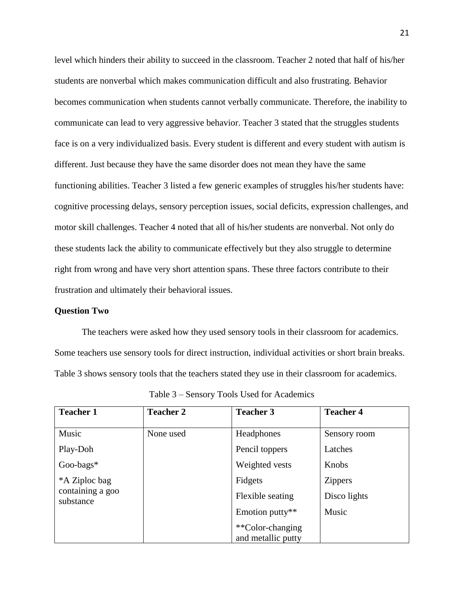level which hinders their ability to succeed in the classroom. Teacher 2 noted that half of his/her students are nonverbal which makes communication difficult and also frustrating. Behavior becomes communication when students cannot verbally communicate. Therefore, the inability to communicate can lead to very aggressive behavior. Teacher 3 stated that the struggles students face is on a very individualized basis. Every student is different and every student with autism is different. Just because they have the same disorder does not mean they have the same functioning abilities. Teacher 3 listed a few generic examples of struggles his/her students have: cognitive processing delays, sensory perception issues, social deficits, expression challenges, and motor skill challenges. Teacher 4 noted that all of his/her students are nonverbal. Not only do these students lack the ability to communicate effectively but they also struggle to determine right from wrong and have very short attention spans. These three factors contribute to their frustration and ultimately their behavioral issues.

## **Question Two**

The teachers were asked how they used sensory tools in their classroom for academics. Some teachers use sensory tools for direct instruction, individual activities or short brain breaks. Table 3 shows sensory tools that the teachers stated they use in their classroom for academics.

| <b>Teacher 1</b>              | <b>Teacher 2</b> | <b>Teacher 3</b>   | <b>Teacher 4</b> |
|-------------------------------|------------------|--------------------|------------------|
|                               |                  |                    |                  |
| Music                         | None used        | Headphones         | Sensory room     |
| Play-Doh                      |                  | Pencil toppers     | Latches          |
| Goo-bags*                     |                  | Weighted vests     | Knobs            |
| *A Ziploc bag                 |                  | Fidgets            | <b>Zippers</b>   |
| containing a goo<br>substance |                  | Flexible seating   | Disco lights     |
|                               |                  | Emotion putty**    | Music            |
|                               |                  | **Color-changing   |                  |
|                               |                  | and metallic putty |                  |

Table 3 – Sensory Tools Used for Academics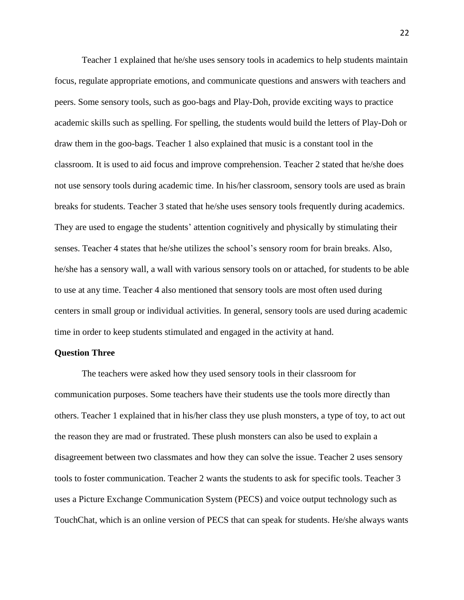Teacher 1 explained that he/she uses sensory tools in academics to help students maintain focus, regulate appropriate emotions, and communicate questions and answers with teachers and peers. Some sensory tools, such as goo-bags and Play-Doh, provide exciting ways to practice academic skills such as spelling. For spelling, the students would build the letters of Play-Doh or draw them in the goo-bags. Teacher 1 also explained that music is a constant tool in the classroom. It is used to aid focus and improve comprehension. Teacher 2 stated that he/she does not use sensory tools during academic time. In his/her classroom, sensory tools are used as brain breaks for students. Teacher 3 stated that he/she uses sensory tools frequently during academics. They are used to engage the students' attention cognitively and physically by stimulating their senses. Teacher 4 states that he/she utilizes the school's sensory room for brain breaks. Also, he/she has a sensory wall, a wall with various sensory tools on or attached, for students to be able to use at any time. Teacher 4 also mentioned that sensory tools are most often used during centers in small group or individual activities. In general, sensory tools are used during academic time in order to keep students stimulated and engaged in the activity at hand.

#### **Question Three**

The teachers were asked how they used sensory tools in their classroom for communication purposes. Some teachers have their students use the tools more directly than others. Teacher 1 explained that in his/her class they use plush monsters, a type of toy, to act out the reason they are mad or frustrated. These plush monsters can also be used to explain a disagreement between two classmates and how they can solve the issue. Teacher 2 uses sensory tools to foster communication. Teacher 2 wants the students to ask for specific tools. Teacher 3 uses a Picture Exchange Communication System (PECS) and voice output technology such as TouchChat, which is an online version of PECS that can speak for students. He/she always wants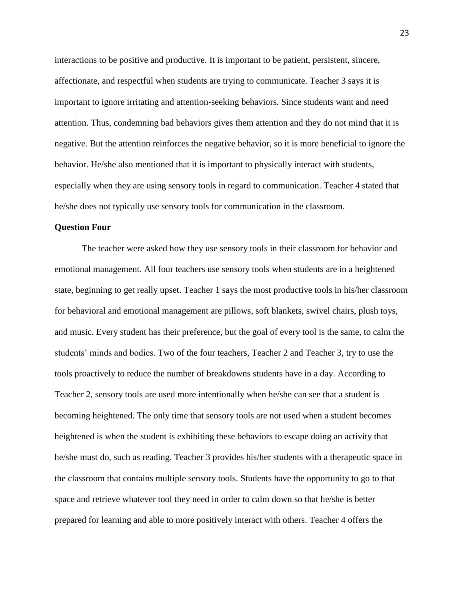interactions to be positive and productive. It is important to be patient, persistent, sincere, affectionate, and respectful when students are trying to communicate. Teacher 3 says it is important to ignore irritating and attention-seeking behaviors. Since students want and need attention. Thus, condemning bad behaviors gives them attention and they do not mind that it is negative. But the attention reinforces the negative behavior, so it is more beneficial to ignore the behavior. He/she also mentioned that it is important to physically interact with students, especially when they are using sensory tools in regard to communication. Teacher 4 stated that he/she does not typically use sensory tools for communication in the classroom.

#### **Question Four**

The teacher were asked how they use sensory tools in their classroom for behavior and emotional management. All four teachers use sensory tools when students are in a heightened state, beginning to get really upset. Teacher 1 says the most productive tools in his/her classroom for behavioral and emotional management are pillows, soft blankets, swivel chairs, plush toys, and music. Every student has their preference, but the goal of every tool is the same, to calm the students' minds and bodies. Two of the four teachers, Teacher 2 and Teacher 3, try to use the tools proactively to reduce the number of breakdowns students have in a day. According to Teacher 2, sensory tools are used more intentionally when he/she can see that a student is becoming heightened. The only time that sensory tools are not used when a student becomes heightened is when the student is exhibiting these behaviors to escape doing an activity that he/she must do, such as reading. Teacher 3 provides his/her students with a therapeutic space in the classroom that contains multiple sensory tools. Students have the opportunity to go to that space and retrieve whatever tool they need in order to calm down so that he/she is better prepared for learning and able to more positively interact with others. Teacher 4 offers the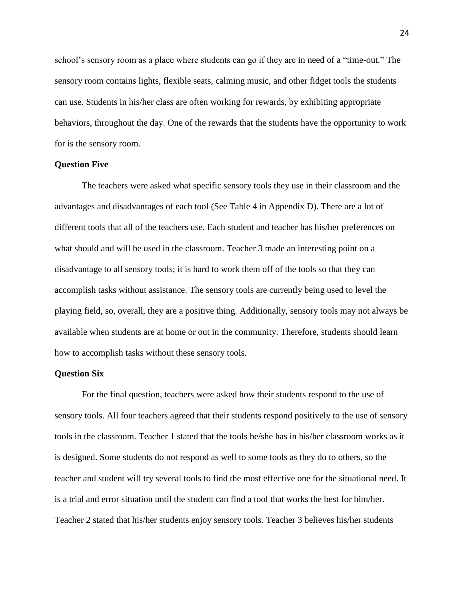school's sensory room as a place where students can go if they are in need of a "time-out." The sensory room contains lights, flexible seats, calming music, and other fidget tools the students can use. Students in his/her class are often working for rewards, by exhibiting appropriate behaviors, throughout the day. One of the rewards that the students have the opportunity to work for is the sensory room.

#### **Question Five**

The teachers were asked what specific sensory tools they use in their classroom and the advantages and disadvantages of each tool (See Table 4 in Appendix D). There are a lot of different tools that all of the teachers use. Each student and teacher has his/her preferences on what should and will be used in the classroom. Teacher 3 made an interesting point on a disadvantage to all sensory tools; it is hard to work them off of the tools so that they can accomplish tasks without assistance. The sensory tools are currently being used to level the playing field, so, overall, they are a positive thing. Additionally, sensory tools may not always be available when students are at home or out in the community. Therefore, students should learn how to accomplish tasks without these sensory tools.

#### **Question Six**

For the final question, teachers were asked how their students respond to the use of sensory tools. All four teachers agreed that their students respond positively to the use of sensory tools in the classroom. Teacher 1 stated that the tools he/she has in his/her classroom works as it is designed. Some students do not respond as well to some tools as they do to others, so the teacher and student will try several tools to find the most effective one for the situational need. It is a trial and error situation until the student can find a tool that works the best for him/her. Teacher 2 stated that his/her students enjoy sensory tools. Teacher 3 believes his/her students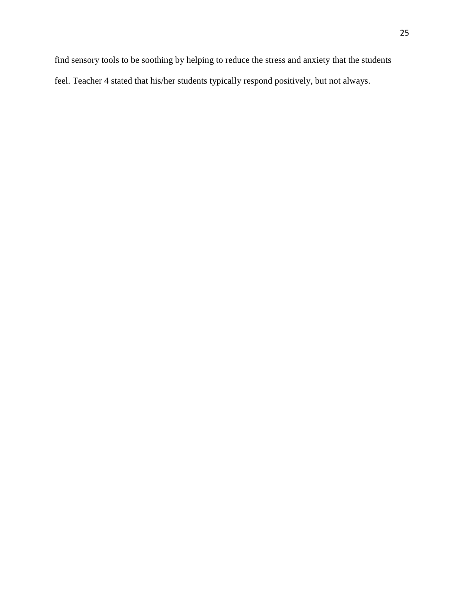find sensory tools to be soothing by helping to reduce the stress and anxiety that the students feel. Teacher 4 stated that his/her students typically respond positively, but not always.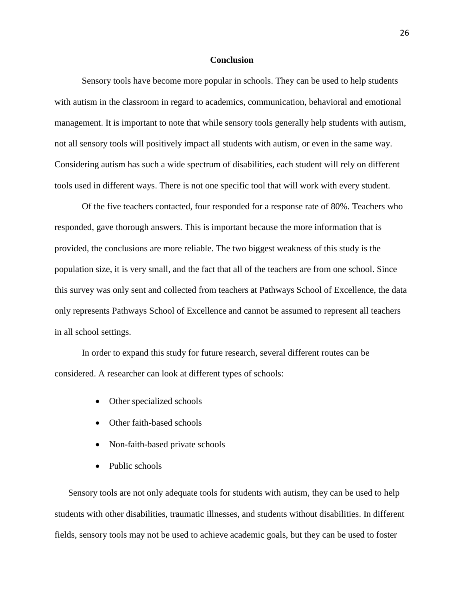#### **Conclusion**

Sensory tools have become more popular in schools. They can be used to help students with autism in the classroom in regard to academics, communication, behavioral and emotional management. It is important to note that while sensory tools generally help students with autism, not all sensory tools will positively impact all students with autism, or even in the same way. Considering autism has such a wide spectrum of disabilities, each student will rely on different tools used in different ways. There is not one specific tool that will work with every student.

Of the five teachers contacted, four responded for a response rate of 80%. Teachers who responded, gave thorough answers. This is important because the more information that is provided, the conclusions are more reliable. The two biggest weakness of this study is the population size, it is very small, and the fact that all of the teachers are from one school. Since this survey was only sent and collected from teachers at Pathways School of Excellence, the data only represents Pathways School of Excellence and cannot be assumed to represent all teachers in all school settings.

In order to expand this study for future research, several different routes can be considered. A researcher can look at different types of schools:

- Other specialized schools
- Other faith-based schools
- Non-faith-based private schools
- Public schools

Sensory tools are not only adequate tools for students with autism, they can be used to help students with other disabilities, traumatic illnesses, and students without disabilities. In different fields, sensory tools may not be used to achieve academic goals, but they can be used to foster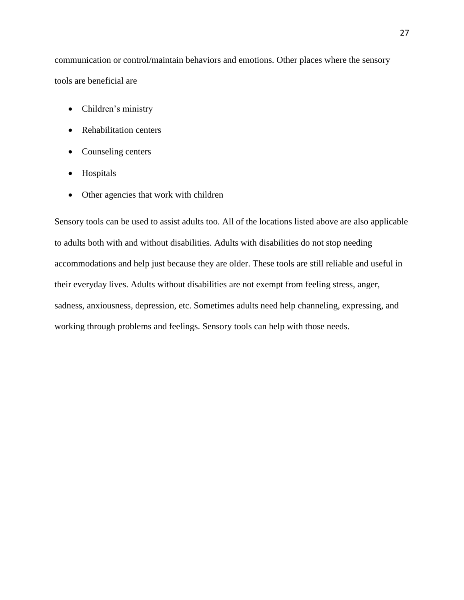communication or control/maintain behaviors and emotions. Other places where the sensory tools are beneficial are

- Children's ministry
- Rehabilitation centers
- Counseling centers
- Hospitals
- Other agencies that work with children

Sensory tools can be used to assist adults too. All of the locations listed above are also applicable to adults both with and without disabilities. Adults with disabilities do not stop needing accommodations and help just because they are older. These tools are still reliable and useful in their everyday lives. Adults without disabilities are not exempt from feeling stress, anger, sadness, anxiousness, depression, etc. Sometimes adults need help channeling, expressing, and working through problems and feelings. Sensory tools can help with those needs.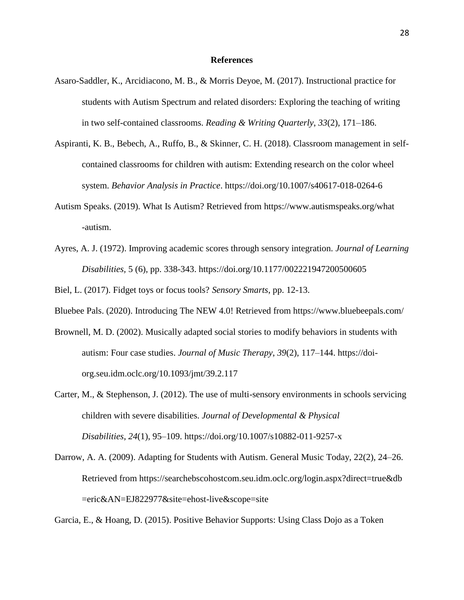#### **References**

- Asaro-Saddler, K., Arcidiacono, M. B., & Morris Deyoe, M. (2017). Instructional practice for students with Autism Spectrum and related disorders: Exploring the teaching of writing in two self-contained classrooms. *Reading & Writing Quarterly*, *33*(2), 171–186.
- Aspiranti, K. B., Bebech, A., Ruffo, B., & Skinner, C. H. (2018). Classroom management in selfcontained classrooms for children with autism: Extending research on the color wheel system. *Behavior Analysis in Practice*. https://doi.org/10.1007/s40617-018-0264-6
- Autism Speaks. (2019). What Is Autism? Retrieved from https://www.autismspeaks.org/what -autism.
- Ayres, A. J. (1972). Improving academic scores through sensory integration. *Journal of Learning Disabilities,* 5 (6), pp. 338-343. https://doi.org/10.1177/002221947200500605
- Biel, L. (2017). Fidget toys or focus tools? *Sensory Smarts*, pp. 12-13.
- Bluebee Pals. (2020). Introducing The NEW 4.0! Retrieved from https://www.bluebeepals.com/
- Brownell, M. D. (2002). Musically adapted social stories to modify behaviors in students with autism: Four case studies. *Journal of Music Therapy*, *39*(2), 117–144. https://doiorg.seu.idm.oclc.org/10.1093/jmt/39.2.117
- Carter, M., & Stephenson, J. (2012). The use of multi-sensory environments in schools servicing children with severe disabilities. *Journal of Developmental & Physical Disabilities*, *24*(1), 95–109. https://doi.org/10.1007/s10882-011-9257-x
- Darrow, A. A. (2009). Adapting for Students with Autism. General Music Today, 22(2), 24–26. Retrieved from https://searchebscohostcom.seu.idm.oclc.org/login.aspx?direct=true&db =eric&AN=EJ822977&site=ehost-live&scope=site

Garcia, E., & Hoang, D. (2015). Positive Behavior Supports: Using Class Dojo as a Token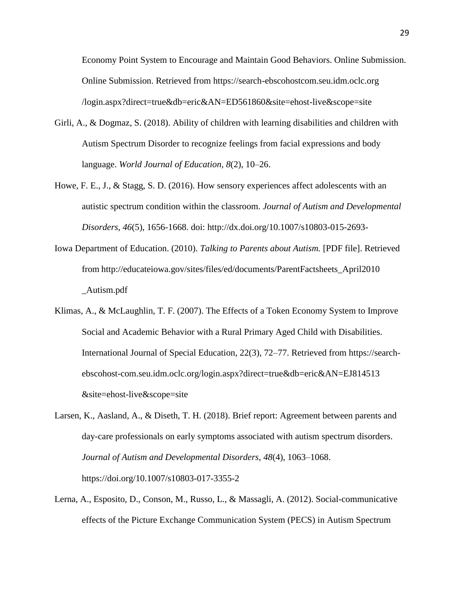Economy Point System to Encourage and Maintain Good Behaviors. Online Submission. Online Submission. Retrieved from https://search-ebscohostcom.seu.idm.oclc.org /login.aspx?direct=true&db=eric&AN=ED561860&site=ehost-live&scope=site

- Girli, A., & Dogmaz, S. (2018). Ability of children with learning disabilities and children with Autism Spectrum Disorder to recognize feelings from facial expressions and body language. *World Journal of Education*, *8*(2), 10–26.
- Howe, F. E., J., & Stagg, S. D. (2016). How sensory experiences affect adolescents with an autistic spectrum condition within the classroom. *Journal of Autism and Developmental Disorders, 46*(5), 1656-1668. doi: http://dx.doi.org/10.1007/s10803-015-2693-
- Iowa Department of Education. (2010). *Talking to Parents about Autism.* [PDF file]. Retrieved from http://educateiowa.gov/sites/files/ed/documents/ParentFactsheets\_April2010 \_Autism.pdf
- Klimas, A., & McLaughlin, T. F. (2007). The Effects of a Token Economy System to Improve Social and Academic Behavior with a Rural Primary Aged Child with Disabilities. International Journal of Special Education, 22(3), 72–77. Retrieved from https://searchebscohost-com.seu.idm.oclc.org/login.aspx?direct=true&db=eric&AN=EJ814513 &site=ehost-live&scope=site
- Larsen, K., Aasland, A., & Diseth, T. H. (2018). Brief report: Agreement between parents and day-care professionals on early symptoms associated with autism spectrum disorders. *Journal of Autism and Developmental Disorders*, *48*(4), 1063–1068. https://doi.org/10.1007/s10803-017-3355-2
- Lerna, A., Esposito, D., Conson, M., Russo, L., & Massagli, A. (2012). Social-communicative effects of the Picture Exchange Communication System (PECS) in Autism Spectrum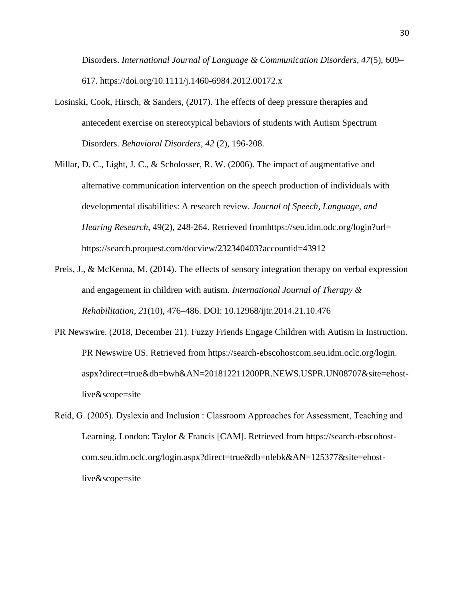Disorders. *International Journal of Language & Communication Disorders*, *47*(5), 609– 617. https://doi.org/10.1111/j.1460-6984.2012.00172.x

- Losinski, Cook, Hirsch, & Sanders, (2017). The effects of deep pressure therapies and antecedent exercise on stereotypical behaviors of students with Autism Spectrum Disorders. *Behavioral Disorders, 42* (2)*,* 196-208.
- Millar, D. C., Light, J. C., & Scholosser, R. W. (2006). The impact of augmentative and alternative communication intervention on the speech production of individuals with developmental disabilities: A research review. *Journal of Speech, Language, and Hearing Research,* 49(2), 248-264. Retrieved fromhttps://seu.idm.odc.org/login?url= https://search.proquest.com/docview/232340403?accountid=43912
- Preis, J., & McKenna, M. (2014). The effects of sensory integration therapy on verbal expression and engagement in children with autism. *International Journal of Therapy & Rehabilitation*, *21*(10), 476–486. DOI: 10.12968/ijtr.2014.21.10.476
- PR Newswire. (2018, December 21). Fuzzy Friends Engage Children with Autism in Instruction. PR Newswire US. Retrieved from https://search-ebscohostcom.seu.idm.oclc.org/login. aspx?direct=true&db=bwh&AN=201812211200PR.NEWS.USPR.UN08707&site=ehostlive&scope=site
- Reid, G. (2005). Dyslexia and Inclusion : Classroom Approaches for Assessment, Teaching and Learning. London: Taylor & Francis [CAM]. Retrieved from https://search-ebscohostcom.seu.idm.oclc.org/login.aspx?direct=true&db=nlebk&AN=125377&site=ehostlive&scope=site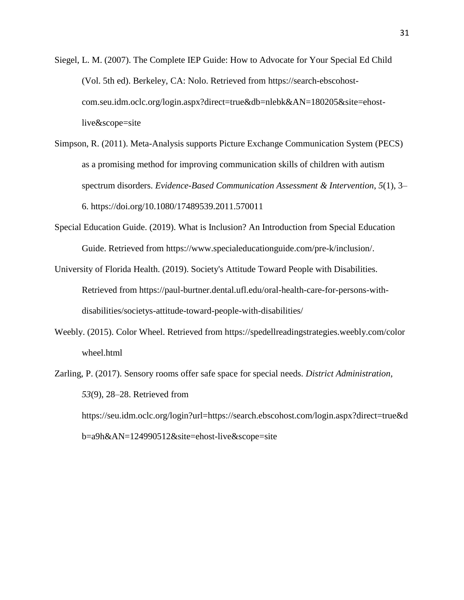- Siegel, L. M. (2007). The Complete IEP Guide: How to Advocate for Your Special Ed Child (Vol. 5th ed). Berkeley, CA: Nolo. Retrieved from https://search-ebscohostcom.seu.idm.oclc.org/login.aspx?direct=true&db=nlebk&AN=180205&site=ehostlive&scope=site
- Simpson, R. (2011). Meta-Analysis supports Picture Exchange Communication System (PECS) as a promising method for improving communication skills of children with autism spectrum disorders. *Evidence-Based Communication Assessment & Intervention*, *5*(1), 3– 6. https://doi.org/10.1080/17489539.2011.570011
- Special Education Guide. (2019). What is Inclusion? An Introduction from Special Education Guide. Retrieved from https://www.specialeducationguide.com/pre-k/inclusion/.
- University of Florida Health. (2019). Society's Attitude Toward People with Disabilities. Retrieved from https://paul-burtner.dental.ufl.edu/oral-health-care-for-persons-withdisabilities/societys-attitude-toward-people-with-disabilities/
- Weebly. (2015). Color Wheel. Retrieved from https://spedellreadingstrategies.weebly.com/color wheel.html
- Zarling, P. (2017). Sensory rooms offer safe space for special needs. *District Administration*, *53*(9), 28–28. Retrieved from https://seu.idm.oclc.org/login?url=https://search.ebscohost.com/login.aspx?direct=true&d b=a9h&AN=124990512&site=ehost-live&scope=site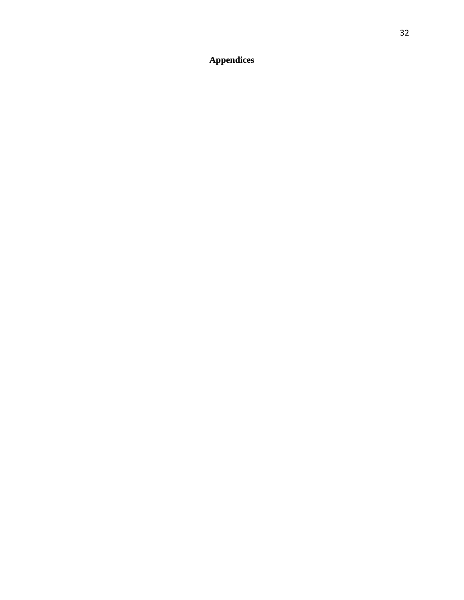**Appendices**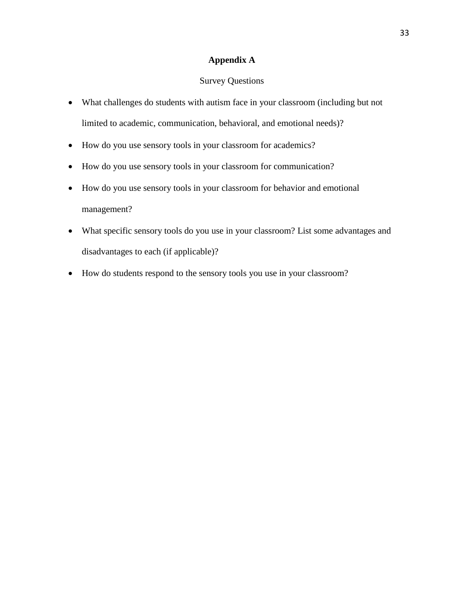## **Appendix A**

## Survey Questions

- What challenges do students with autism face in your classroom (including but not limited to academic, communication, behavioral, and emotional needs)?
- How do you use sensory tools in your classroom for academics?
- How do you use sensory tools in your classroom for communication?
- How do you use sensory tools in your classroom for behavior and emotional management?
- What specific sensory tools do you use in your classroom? List some advantages and disadvantages to each (if applicable)?
- How do students respond to the sensory tools you use in your classroom?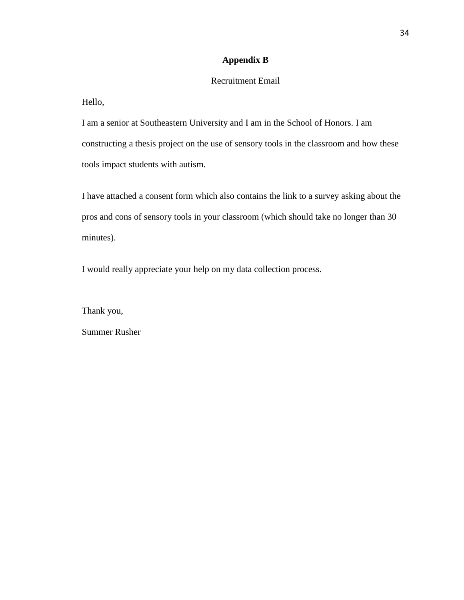## **Appendix B**

## Recruitment Email

Hello,

I am a senior at Southeastern University and I am in the School of Honors. I am constructing a thesis project on the use of sensory tools in the classroom and how these tools impact students with autism.

I have attached a consent form which also contains the link to a survey asking about the pros and cons of sensory tools in your classroom (which should take no longer than 30 minutes).

I would really appreciate your help on my data collection process.

Thank you,

Summer Rusher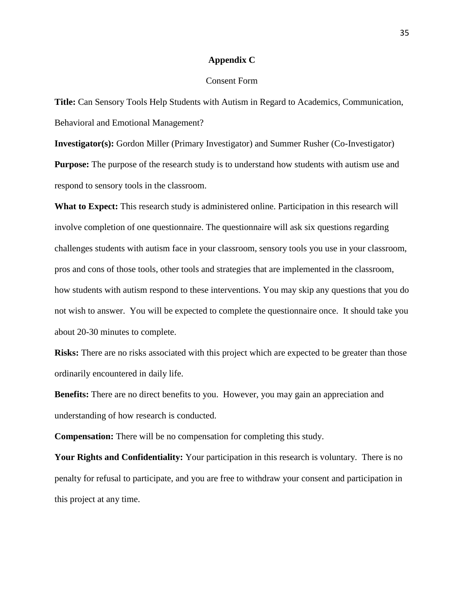#### **Appendix C**

### Consent Form

**Title:** Can Sensory Tools Help Students with Autism in Regard to Academics, Communication, Behavioral and Emotional Management?

**Investigator(s):** Gordon Miller (Primary Investigator) and Summer Rusher (Co-Investigator) **Purpose:** The purpose of the research study is to understand how students with autism use and respond to sensory tools in the classroom.

**What to Expect:** This research study is administered online. Participation in this research will involve completion of one questionnaire. The questionnaire will ask six questions regarding challenges students with autism face in your classroom, sensory tools you use in your classroom, pros and cons of those tools, other tools and strategies that are implemented in the classroom, how students with autism respond to these interventions. You may skip any questions that you do not wish to answer. You will be expected to complete the questionnaire once. It should take you about 20-30 minutes to complete.

**Risks:** There are no risks associated with this project which are expected to be greater than those ordinarily encountered in daily life.

**Benefits:** There are no direct benefits to you. However, you may gain an appreciation and understanding of how research is conducted.

**Compensation:** There will be no compensation for completing this study.

**Your Rights and Confidentiality:** Your participation in this research is voluntary. There is no penalty for refusal to participate, and you are free to withdraw your consent and participation in this project at any time.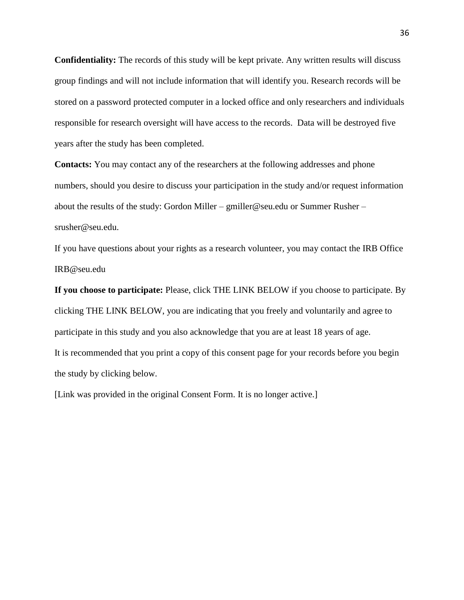**Confidentiality:** The records of this study will be kept private. Any written results will discuss group findings and will not include information that will identify you. Research records will be stored on a password protected computer in a locked office and only researchers and individuals responsible for research oversight will have access to the records. Data will be destroyed five years after the study has been completed.

**Contacts:** You may contact any of the researchers at the following addresses and phone numbers, should you desire to discuss your participation in the study and/or request information about the results of the study: Gordon Miller – gmiller@seu.edu or Summer Rusher – srusher@seu.edu.

If you have questions about your rights as a research volunteer, you may contact the IRB Office IRB@seu.edu

**If you choose to participate:** Please, click THE LINK BELOW if you choose to participate. By clicking THE LINK BELOW, you are indicating that you freely and voluntarily and agree to participate in this study and you also acknowledge that you are at least 18 years of age. It is recommended that you print a copy of this consent page for your records before you begin the study by clicking below.

[Link was provided in the original Consent Form. It is no longer active.]